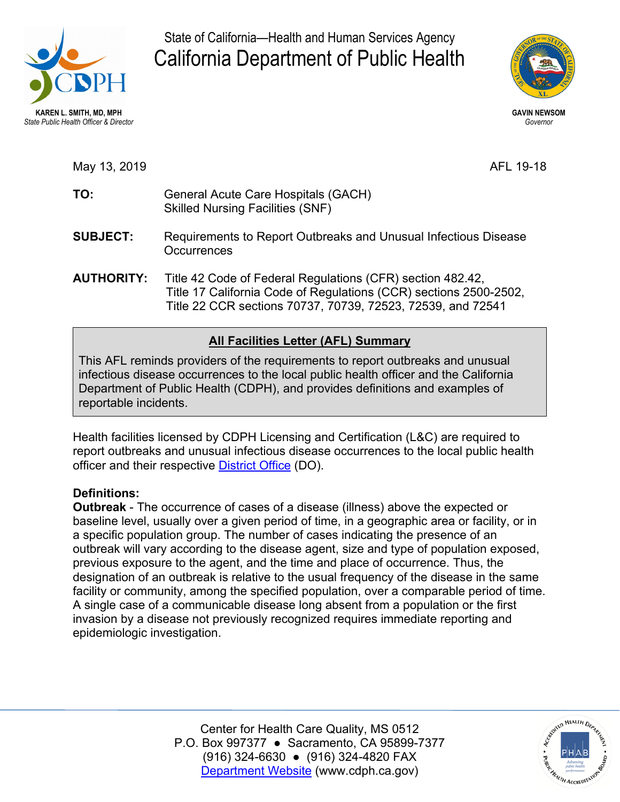

State of California—Health and Human Services Agency California Department of Public Health



May 13, 2019 AFL 19-18

- TO: Skilled Nursing Facilities (SNF) **TO:** General Acute Care Hospitals (GACH)
- **SUBJECT: Occurrences SUBJECT:** Requirements to Report Outbreaks and Unusual Infectious Disease
- **AUTHORITY:** Title 42 Code of Federal Regulations (CFR) section 482.42, Title 17 California Code of Regulations (CCR) sections 2500-2502, Title 22 CCR sections 70737, 70739, 72523, 72539, and 72541

## **All Facilities Letter (AFL) Summary**

This AFL reminds providers of the requirements to report outbreaks and unusual infectious disease occurrences to the local public health officer and the California Department of Public Health (CDPH), and provides definitions and examples of reportable incidents.

officer and their respective <u>District Office</u> (DO). Health facilities licensed by CDPH Licensing and Certification (L&C) are required to report outbreaks and unusual infectious disease occurrences to the local public health

## **Definitions:**

 **Outbreak** - The occurrence of cases of a disease (illness) above the expected or epidemiologic investigation. baseline level, usually over a given period of time, in a geographic area or facility, or in a specific population group. The number of cases indicating the presence of an outbreak will vary according to the disease agent, size and type of population exposed, previous exposure to the agent, and the time and place of occurrence. Thus, the designation of an outbreak is relative to the usual frequency of the disease in the same facility or community, among the specified population, over a comparable period of time. A single case of a communicable disease long absent from a population or the first invasion by a disease not previously recognized requires immediate reporting and

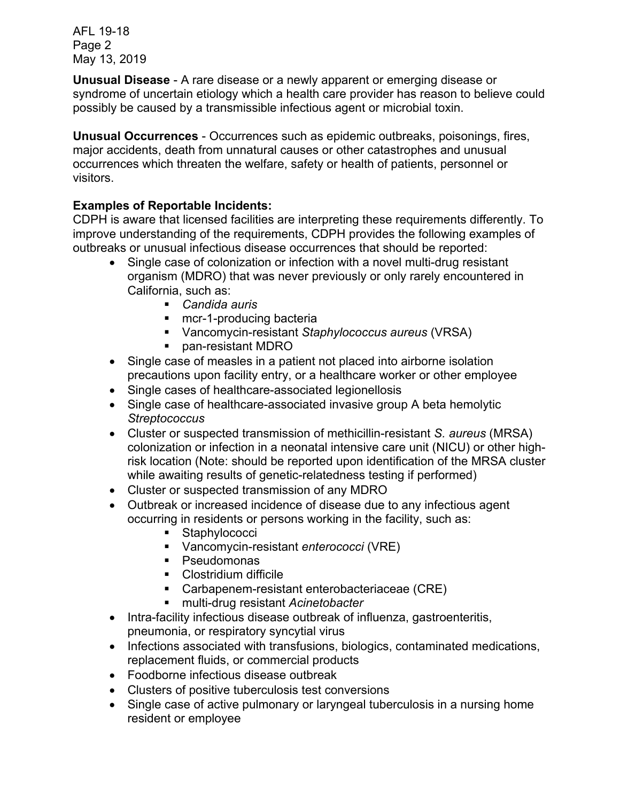May 13, 2019 AFL 19-18 Page 2

 **Unusual Disease** - A rare disease or a newly apparent or emerging disease or syndrome of uncertain etiology which a health care provider has reason to believe could possibly be caused by a transmissible infectious agent or microbial toxin.

 **Unusual Occurrences** - Occurrences such as epidemic outbreaks, poisonings, fires, major accidents, death from unnatural causes or other catastrophes and unusual occurrences which threaten the welfare, safety or health of patients, personnel or visitors.

## **Examples of Reportable Incidents:**

 outbreaks or unusual infectious disease occurrences that should be reported: CDPH is aware that licensed facilities are interpreting these requirements differently. To improve understanding of the requirements, CDPH provides the following examples of

- Single case of colonization or infection with a novel multi-drug resistant organism (MDRO) that was never previously or only rarely encountered in California, such as:
	- *Candida auris*
	- **nd** mcr-1-producing bacteria
	- Vancomycin-resistant *Staphylococcus aureus* (VRSA)
	- **pan-resistant MDRO**
- • Single case of measles in a patient not placed into airborne isolation precautions upon facility entry, or a healthcare worker or other employee
- Single cases of healthcare-associated legionellosis
- Single case of healthcare-associated invasive group A beta hemolytic *Streptococcus*
- Cluster or suspected transmission of methicillin-resistant *S. aureus* (MRSA) colonization or infection in a neonatal intensive care unit (NICU) or other highrisk location (Note: should be reported upon identification of the MRSA cluster while awaiting results of genetic-relatedness testing if performed)
- Cluster or suspected transmission of any MDRO
- Outbreak or increased incidence of disease due to any infectious agent occurring in residents or persons working in the facility, such as:
	- **Staphylococci**
	- Vancomycin-resistant *enterococci* (VRE)
	- **•** Pseudomonas
	- **Clostridium difficile**
	- Carbapenem-resistant enterobacteriaceae (CRE)
	- multi-drug resistant *Acinetobacter*
- pneumonia, or respiratory syncytial virus • Intra-facility infectious disease outbreak of influenza, gastroenteritis,
- Infections associated with transfusions, biologics, contaminated medications, replacement fluids, or commercial products
- Foodborne infectious disease outbreak
- Clusters of positive tuberculosis test conversions
- Single case of active pulmonary or laryngeal tuberculosis in a nursing home resident or employee